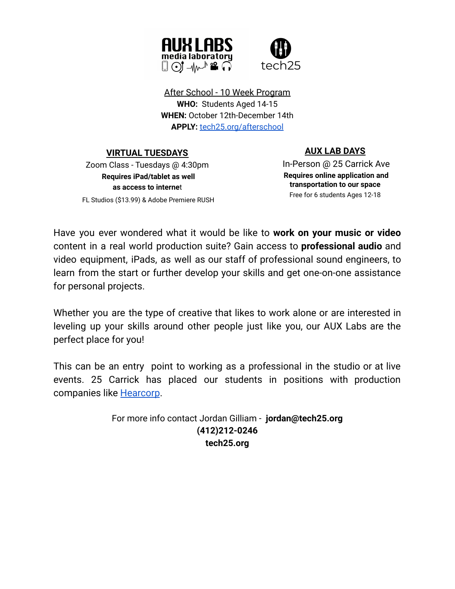

After School - 10 Week Program **WHO:** Students Aged 14-15 **WHEN:** October 12th-December 14th **APPLY:** [tech25.org/afterschool](https://forms.gle/oH9n3Y6vneZywRbo9)

**VIRTUAL TUESDAYS**

# Zoom Class - Tuesdays @ 4:30pm **Requires iPad/tablet as well as access to interne**t FL Studios (\$13.99) & Adobe Premiere RUSH

# **AUX LAB DAYS**

In-Person @ 25 Carrick Ave **Requires online application and transportation to our space** Free for 6 students Ages 12-18

Have you ever wondered what it would be like to **work on your music or video** content in a real world production suite? Gain access to **professional audio** and video equipment, iPads, as well as our staff of professional sound engineers, to learn from the start or further develop your skills and get one-on-one assistance for personal projects.

Whether you are the type of creative that likes to work alone or are interested in leveling up your skills around other people just like you, our AUX Labs are the perfect place for you!

This can be an entry point to working as a professional in the studio or at live events. 25 Carrick has placed our students in positions with production companies like [Hearcorp](http://hearcorp.com).

> For more info contact Jordan Gilliam - **jordan@tech25.org (412)212-0246 tech25.org**